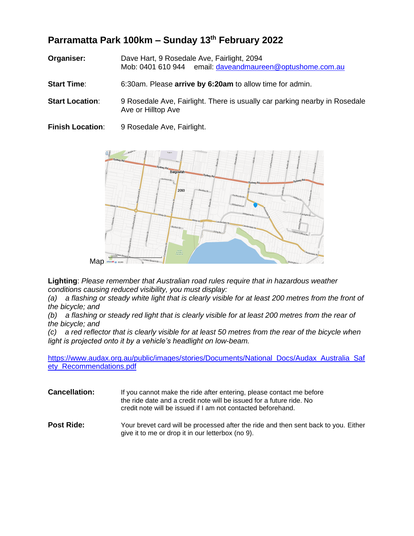## **Parramatta Park 100km – Sunday 13 th February 2022**

- **Organiser:** Dave Hart, 9 Rosedale Ave, Fairlight, 2094 Mob: 0401 610 944 email: [daveandmaureen@optushome.com.au](mailto:daveandmaureen@optushome.com.au)
- **Start Time**: 6:30am. Please **arrive by 6:20am** to allow time for admin.
- **Start Location:** 9 Rosedale Ave, Fairlight. There is usually car parking nearby in Rosedale Ave or Hilltop Ave
- **Finish Location**: 9 Rosedale Ave, Fairlight.



**Lighting**: *Please remember that Australian road rules require that in hazardous weather conditions causing reduced visibility, you must display:*

*(a) a flashing or steady white light that is clearly visible for at least 200 metres from the front of the bicycle; and*

*(b) a flashing or steady red light that is clearly visible for at least 200 metres from the rear of the bicycle; and*

*(c) a red reflector that is clearly visible for at least 50 metres from the rear of the bicycle when light is projected onto it by a vehicle's headlight on low-beam.*

[https://www.audax.org.au/public/images/stories/Documents/National\\_Docs/Audax\\_Australia\\_Saf](https://www.audax.org.au/public/images/stories/Documents/National_Docs/Audax_Australia_Safety_Recommendations.pdf) [ety\\_Recommendations.pdf](https://www.audax.org.au/public/images/stories/Documents/National_Docs/Audax_Australia_Safety_Recommendations.pdf)

- **Cancellation:** If you cannot make the ride after entering, please contact me before the ride date and a credit note will be issued for a future ride. No credit note will be issued if I am not contacted beforehand.
- **Post Ride:** Your brevet card will be processed after the ride and then sent back to you. Either give it to me or drop it in our letterbox (no 9).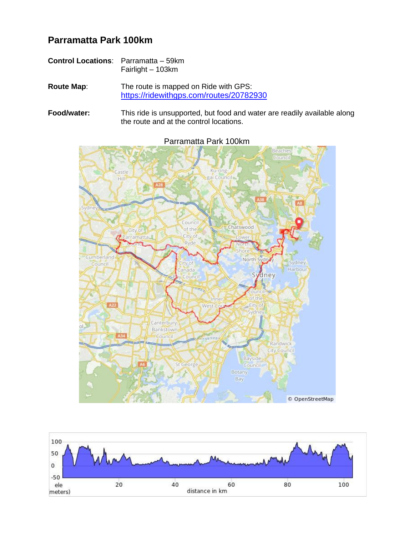## **Parramatta Park 100km**

| <b>Control Locations:</b> Parramatta – 59km |                   |  |
|---------------------------------------------|-------------------|--|
|                                             | Fairlight - 103km |  |

**Route Map**: The route is mapped on Ride with GPS: <https://ridewithgps.com/routes/20782930>

**Food/water:** This ride is unsupported, but food and water are readily available along the route and at the control locations.



Parramatta Park 100km

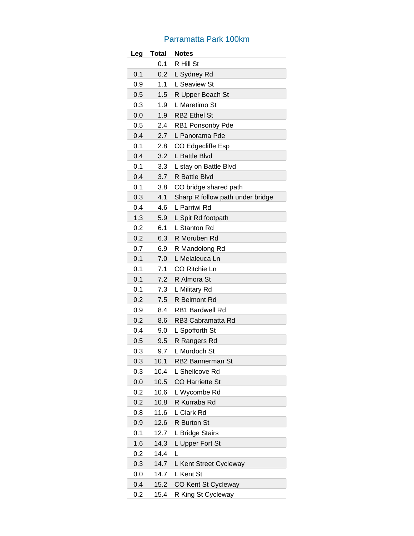## Parramatta Park 100km

| Leg | <b>Total</b> | <b>Notes</b>                     |
|-----|--------------|----------------------------------|
|     | 0.1          | R Hill St                        |
| 0.1 | 0.2          | L Sydney Rd                      |
| 0.9 | 1.1          | L Seaview St                     |
| 0.5 | 1.5          | R Upper Beach St                 |
| 0.3 | 1.9          | L Maretimo St                    |
| 0.0 | 1.9          | <b>RB2</b> Ethel St              |
| 0.5 | 2.4          | RB1 Ponsonby Pde                 |
| 0.4 | 2.7          | L Panorama Pde                   |
| 0.1 | 2.8          | CO Edgecliffe Esp                |
| 0.4 | 3.2          | L Battle Blvd                    |
| 0.1 | 3.3          | L stay on Battle Blvd            |
| 0.4 | 3.7          | R Battle Blvd                    |
| 0.1 | 3.8          | CO bridge shared path            |
| 0.3 | 4.1          | Sharp R follow path under bridge |
| 0.4 | 4.6          | L Parriwi Rd                     |
| 1.3 | 5.9          | L Spit Rd footpath               |
| 0.2 | 6.1          | L Stanton Rd                     |
| 0.2 | 6.3          | R Moruben Rd                     |
| 0.7 | 6.9          | R Mandolong Rd                   |
| 0.1 | 7.0          | L Melaleuca Ln                   |
| 0.1 | 7.1          | CO Ritchie Ln                    |
| 0.1 | 7.2          | R Almora St                      |
| 0.1 | 7.3          | L Military Rd                    |
| 0.2 | 7.5          | R Belmont Rd                     |
| 0.9 | 8.4          | <b>RB1 Bardwell Rd</b>           |
| 0.2 | 8.6          | RB3 Cabramatta Rd                |
| 0.4 | 9.0          | L Spofforth St                   |
| 0.5 | 9.5          | R Rangers Rd                     |
| 0.3 | 9.7          | L Murdoch St                     |
| 0.3 | 10.1         | RB2 Bannerman St                 |
| 0.3 | 10.4         | L Shellcove Rd                   |
| 0.0 | 10.5         | <b>CO Harriette St</b>           |
| 0.2 | 10.6         | L Wycombe Rd                     |
| 0.2 | 10.8         | R Kurraba Rd                     |
| 0.8 | 11.6         | L Clark Rd                       |
| 0.9 | 12.6         | R Burton St                      |
| 0.1 | 12.7         | L Bridge Stairs                  |
| 1.6 | 14.3         | L Upper Fort St                  |
| 0.2 | 14.4         | L                                |
| 0.3 | 14.7         | L Kent Street Cycleway           |
| 0.0 | 14.7         | L Kent St                        |
| 0.4 | 15.2         | CO Kent St Cycleway              |
| 0.2 | 15.4         | R King St Cycleway               |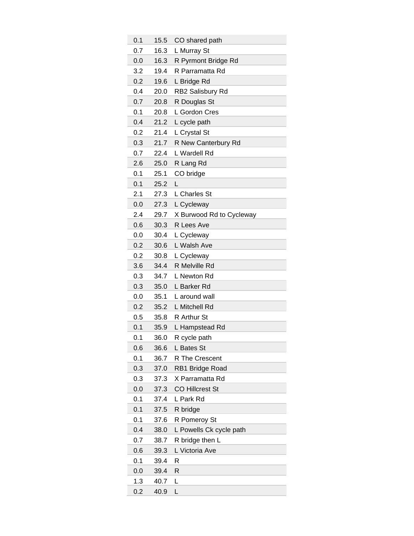| 0.1 | 15.5 | CO shared path           |
|-----|------|--------------------------|
| 0.7 | 16.3 | L Murray St              |
| 0.0 | 16.3 | R Pyrmont Bridge Rd      |
| 3.2 | 19.4 | R Parramatta Rd          |
| 0.2 | 19.6 | L Bridge Rd              |
| 0.4 | 20.0 | RB2 Salisbury Rd         |
| 0.7 | 20.8 | R Douglas St             |
| 0.1 | 20.8 | L Gordon Cres            |
| 0.4 | 21.2 | L cycle path             |
| 0.2 | 21.4 | L Crystal St             |
| 0.3 | 21.7 | R New Canterbury Rd      |
| 0.7 | 22.4 | L Wardell Rd             |
| 2.6 | 25.0 | R Lang Rd                |
| 0.1 | 25.1 | CO bridge                |
| 0.1 | 25.2 | L                        |
| 2.1 | 27.3 | L Charles St             |
| 0.0 | 27.3 | L Cycleway               |
| 2.4 | 29.7 | X Burwood Rd to Cycleway |
| 0.6 | 30.3 | R Lees Ave               |
| 0.0 | 30.4 | L Cycleway               |
| 0.2 | 30.6 | L Walsh Ave              |
| 0.2 | 30.8 | L Cycleway               |
| 3.6 | 34.4 | R Melville Rd            |
| 0.3 | 34.7 | L Newton Rd              |
| 0.3 | 35.0 | L Barker Rd              |
| 0.0 | 35.1 | L around wall            |
| 0.2 | 35.2 | L Mitchell Rd            |
| 0.5 | 35.8 | R Arthur St              |
| 0.1 | 35.9 | L Hampstead Rd           |
| 0.1 | 36.0 | R cycle path             |
| 0.6 | 36.6 | L Bates St               |
| 0.1 | 36.7 | R The Crescent           |
| 0.3 | 37.0 | RB1 Bridge Road          |
| 0.3 | 37.3 | X Parramatta Rd          |
| 0.0 | 37.3 | <b>CO Hillcrest St</b>   |
| 0.1 | 37.4 | L Park Rd                |
| 0.1 | 37.5 | R bridge                 |
| 0.1 | 37.6 | R Pomeroy St             |
| 0.4 | 38.0 | L Powells Ck cycle path  |
| 0.7 | 38.7 | R bridge then L          |
| 0.6 | 39.3 | L Victoria Ave           |
| 0.1 | 39.4 | R                        |
| 0.0 | 39.4 | R                        |
| 1.3 | 40.7 | L                        |
| 0.2 | 40.9 | L                        |
|     |      |                          |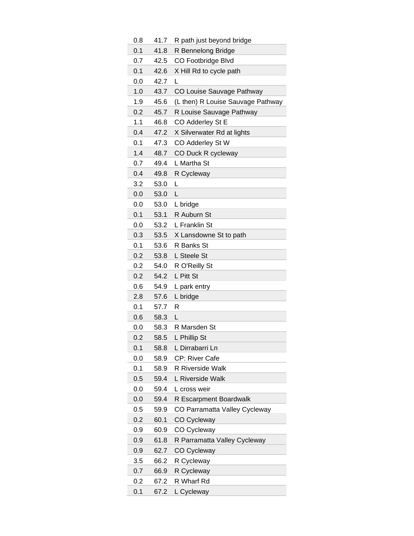| 0.8 | 41.7 | R path just beyond bridge         |
|-----|------|-----------------------------------|
| 0.1 | 41.8 | R Bennelong Bridge                |
| 0.7 | 42.5 | CO Footbridge Blvd                |
| 0.1 | 42.6 | X Hill Rd to cycle path           |
| 0.0 | 42.7 | L                                 |
| 1.0 | 43.7 | CO Louise Sauvage Pathway         |
| 1.9 | 45.6 | (L then) R Louise Sauvage Pathway |
| 0.2 | 45.7 | R Louise Sauvage Pathway          |
| 1.1 | 46.8 | CO Adderley St E                  |
| 0.4 | 47.2 | X Silverwater Rd at lights        |
| 0.1 | 47.3 | CO Adderley St W                  |
| 1.4 | 48.7 | CO Duck R cycleway                |
| 0.7 | 49.4 | L Martha St                       |
| 0.4 | 49.8 | R Cycleway                        |
| 3.2 | 53.0 | L                                 |
| 0.0 | 53.0 | L                                 |
| 0.0 | 53.0 | L bridge                          |
| 0.1 | 53.1 | R Auburn St                       |
| 0.0 | 53.2 | L Franklin St                     |
| 0.3 | 53.5 | X Lansdowne St to path            |
| 0.1 | 53.6 | R Banks St                        |
| 0.2 | 53.8 | L Steele St                       |
| 0.2 | 54.0 | R O'Reilly St                     |
| 0.2 | 54.2 | L Pitt St                         |
| 0.6 | 54.9 | L park entry                      |
| 2.8 | 57.6 | L bridge                          |
| 0.1 | 57.7 | R                                 |
| 0.6 | 58.3 | L                                 |
| 0.0 | 58.3 | R Marsden St                      |
| 0.2 | 58.5 | L Phillip St                      |
| 0.1 | 58.8 | L Dirrabarri Ln                   |
| 0.0 | 58.9 | CP: River Cafe                    |
| 0.1 | 58.9 | R Riverside Walk                  |
| 0.5 | 59.4 | L Riverside Walk                  |
| 0.0 | 59.4 | L cross weir                      |
| 0.0 | 59.4 | R Escarpment Boardwalk            |
| 0.5 | 59.9 | CO Parramatta Valley Cycleway     |
| 0.2 | 60.1 | <b>CO Cycleway</b>                |
| 0.9 | 60.9 | CO Cycleway                       |
| 0.9 | 61.8 | R Parramatta Valley Cycleway      |
| 0.9 | 62.7 | CO Cycleway                       |
| 3.5 | 66.2 | R Cycleway                        |
| 0.7 | 66.9 | R Cycleway                        |
| 0.2 | 67.2 | R Wharf Rd                        |
| 0.1 | 67.2 | L Cycleway                        |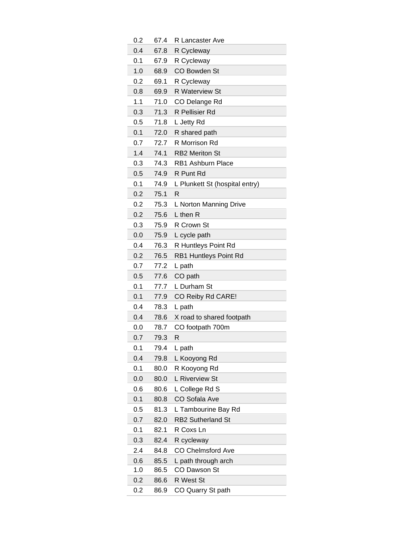| 0.2 | 67.4 | R Lancaster Ave                |
|-----|------|--------------------------------|
| 0.4 | 67.8 | R Cycleway                     |
| 0.1 | 67.9 | R Cycleway                     |
| 1.0 | 68.9 | CO Bowden St                   |
| 0.2 | 69.1 | R Cycleway                     |
| 0.8 | 69.9 | <b>R</b> Waterview St          |
| 1.1 | 71.0 | CO Delange Rd                  |
| 0.3 | 71.3 | R Pellisier Rd                 |
| 0.5 | 71.8 | L Jetty Rd                     |
| 0.1 | 72.0 | R shared path                  |
| 0.7 | 72.7 | R Morrison Rd                  |
| 1.4 | 74.1 | <b>RB2 Meriton St</b>          |
| 0.3 | 74.3 | RB1 Ashburn Place              |
| 0.5 | 74.9 | R Punt Rd                      |
| 0.1 | 74.9 | L Plunkett St (hospital entry) |
| 0.2 | 75.1 | R                              |
| 0.2 | 75.3 | L Norton Manning Drive         |
| 0.2 | 75.6 | L then R                       |
| 0.3 | 75.9 | R Crown St                     |
| 0.0 | 75.9 | L cycle path                   |
| 0.4 | 76.3 | R Huntleys Point Rd            |
| 0.2 | 76.5 | RB1 Huntleys Point Rd          |
| 0.7 | 77.2 | L path                         |
| 0.5 | 77.6 | CO path                        |
| 0.1 | 77.7 | L Durham St                    |
| 0.1 | 77.9 | CO Reiby Rd CARE!              |
| 0.4 | 78.3 | L path                         |
| 0.4 | 78.6 | X road to shared footpath      |
| 0.0 | 78.7 | CO footpath 700m               |
| 0.7 | 79.3 | R                              |
| 0.1 | 79.4 | L path                         |
| 0.4 | 79.8 | L Kooyong Rd                   |
| 0.1 | 80.0 | R Kooyong Rd                   |
| 0.0 | 80.0 | L Riverview St                 |
| 0.6 | 80.6 | L College Rd S                 |
| 0.1 | 80.8 | <b>CO Sofala Ave</b>           |
| 0.5 | 81.3 | L Tambourine Bay Rd            |
| 0.7 | 82.0 | <b>RB2 Sutherland St</b>       |
| 0.1 | 82.1 | R Coxs Ln                      |
| 0.3 | 82.4 | R cycleway                     |
| 2.4 | 84.8 | <b>CO Chelmsford Ave</b>       |
| 0.6 | 85.5 | L path through arch            |
| 1.0 | 86.5 | CO Dawson St                   |
| 0.2 | 86.6 | R West St                      |
| 0.2 | 86.9 | CO Quarry St path              |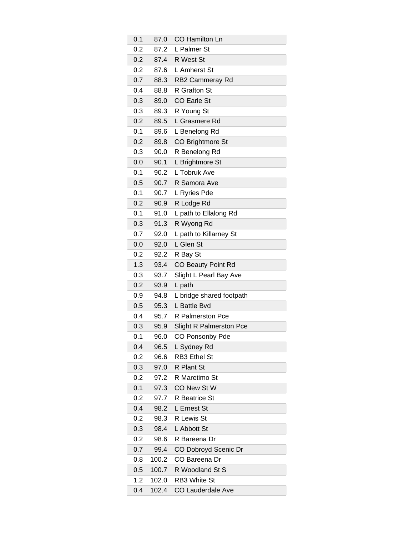| 0.1 | 87.0  | CO Hamilton Ln                 |
|-----|-------|--------------------------------|
| 0.2 | 87.2  | L Palmer St                    |
| 0.2 | 87.4  | R West St                      |
| 0.2 | 87.6  | L Amherst St                   |
| 0.7 | 88.3  | RB2 Cammeray Rd                |
| 0.4 | 88.8  | R Grafton St                   |
| 0.3 | 89.0  | CO Earle St                    |
| 0.3 | 89.3  | R Young St                     |
| 0.2 | 89.5  | L Grasmere Rd                  |
| 0.1 | 89.6  | L Benelong Rd                  |
| 0.2 | 89.8  | CO Brightmore St               |
| 0.3 | 90.0  | R Benelong Rd                  |
| 0.0 | 90.1  | L Brightmore St                |
| 0.1 | 90.2  | L Tobruk Ave                   |
| 0.5 | 90.7  | R Samora Ave                   |
| 0.1 | 90.7  | L Ryries Pde                   |
| 0.2 | 90.9  | R Lodge Rd                     |
| 0.1 | 91.0  | L path to Ellalong Rd          |
| 0.3 | 91.3  | R Wyong Rd                     |
| 0.7 | 92.0  | L path to Killarney St         |
| 0.0 | 92.0  | L Glen St                      |
| 0.2 | 92.2  | R Bay St                       |
| 1.3 | 93.4  | CO Beauty Point Rd             |
| 0.3 | 93.7  | Slight L Pearl Bay Ave         |
| 0.2 | 93.9  | L path                         |
| 0.9 | 94.8  | L bridge shared footpath       |
| 0.5 | 95.3  | L Battle Bvd                   |
| 0.4 | 95.7  | R Palmerston Pce               |
| 0.3 | 95.9  | <b>Slight R Palmerston Pce</b> |
| 0.1 | 96.0  | CO Ponsonby Pde                |
| 0.4 | 96.5  | L Sydney Rd                    |
| 0.2 | 96.6  | <b>RB3 Ethel St</b>            |
| 0.3 | 97.0  | R Plant St                     |
| 0.2 | 97.2  | R Maretimo St                  |
| 0.1 | 97.3  | CO New St W                    |
| 0.2 | 97.7  | R Beatrice St                  |
| 0.4 | 98.2  | L Ernest St                    |
| 0.2 | 98.3  | R Lewis St                     |
| 0.3 | 98.4  | L Abbott St                    |
| 0.2 | 98.6  | R Bareena Dr                   |
| 0.7 | 99.4  | CO Dobroyd Scenic Dr           |
| 0.8 | 100.2 | CO Bareena Dr                  |
| 0.5 | 100.7 | R Woodland St S                |
| 1.2 | 102.0 | RB3 White St                   |
| 0.4 | 102.4 | <b>CO Lauderdale Ave</b>       |